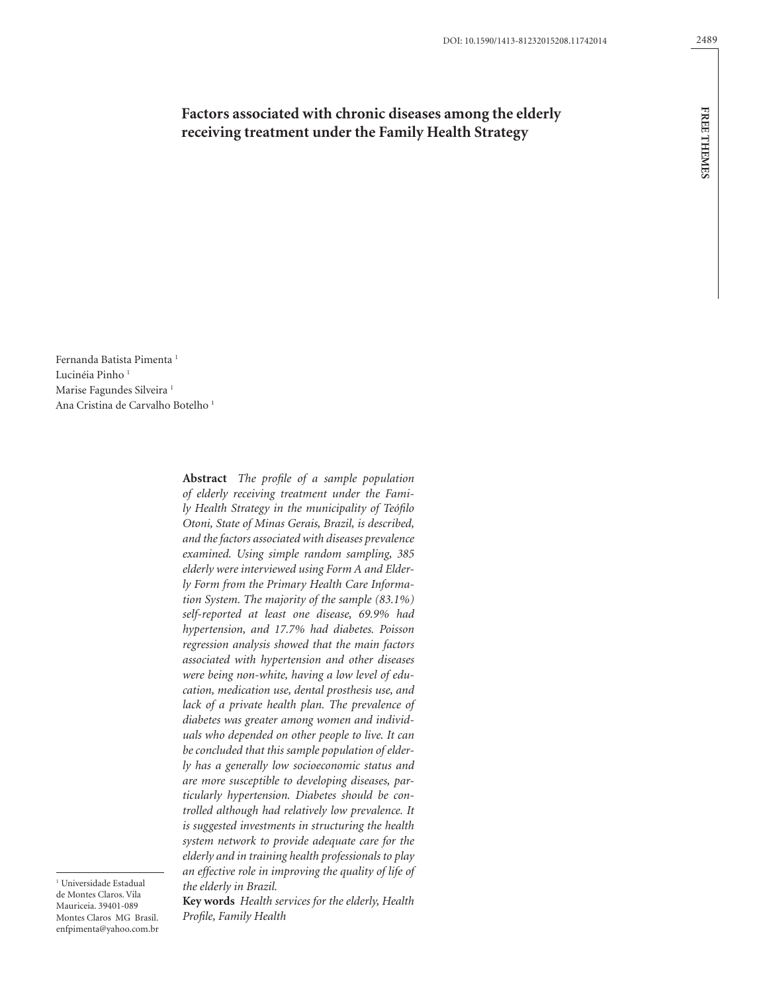**free themes**

**FREE THEMES** 

**Factors associated with chronic diseases among the elderly receiving treatment under the Family Health Strategy**

Fernanda Batista Pimenta<sup>1</sup> Lucinéia Pinho<sup>1</sup> Marise Fagundes Silveira<sup>1</sup> Ana Cristina de Carvalho Botelho<sup>1</sup>

> **Abstract** *The profile of a sample population of elderly receiving treatment under the Family Health Strategy in the municipality of Teófilo Otoni, State of Minas Gerais, Brazil, is described, and the factors associated with diseases prevalence examined. Using simple random sampling, 385 elderly were interviewed using Form A and Elderly Form from the Primary Health Care Information System. The majority of the sample (83.1%) self-reported at least one disease, 69.9% had hypertension, and 17.7% had diabetes. Poisson regression analysis showed that the main factors associated with hypertension and other diseases were being non-white, having a low level of education, medication use, dental prosthesis use, and lack of a private health plan. The prevalence of diabetes was greater among women and individuals who depended on other people to live. It can be concluded that this sample population of elderly has a generally low socioeconomic status and are more susceptible to developing diseases, particularly hypertension. Diabetes should be controlled although had relatively low prevalence. It is suggested investments in structuring the health system network to provide adequate care for the elderly and in training health professionals to play an effective role in improving the quality of life of the elderly in Brazil.*

**Key words** *Health services for the elderly, Health Profile, Family Health*

<sup>1</sup> Universidade Estadual de Montes Claros. Vila Mauriceia. 39401-089 Montes Claros MG Brasil. enfpimenta@yahoo.com.br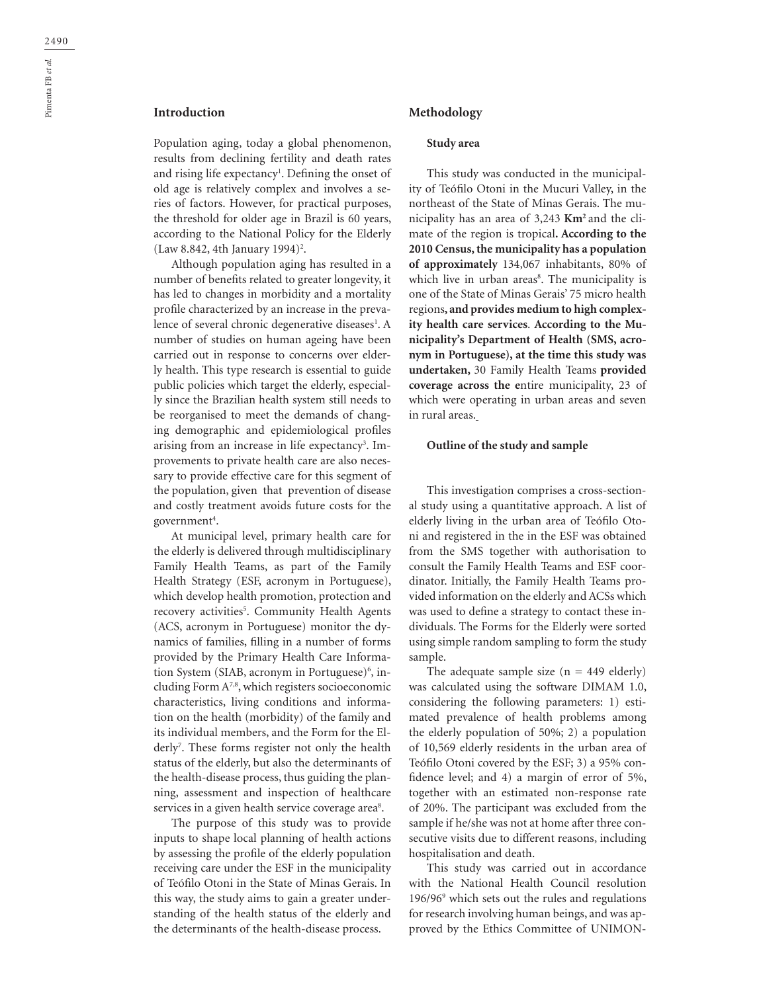# **Introduction**

Population aging, today a global phenomenon, results from declining fertility and death rates and rising life expectancy<sup>1</sup>. Defining the onset of old age is relatively complex and involves a series of factors. However, for practical purposes, the threshold for older age in Brazil is 60 years, according to the National Policy for the Elderly  $(Law 8.842, 4th January 1994)<sup>2</sup>$ .

Although population aging has resulted in a number of benefits related to greater longevity, it has led to changes in morbidity and a mortality profile characterized by an increase in the prevalence of several chronic degenerative diseases<sup>1</sup>. A number of studies on human ageing have been carried out in response to concerns over elderly health. This type research is essential to guide public policies which target the elderly, especially since the Brazilian health system still needs to be reorganised to meet the demands of changing demographic and epidemiological profiles arising from an increase in life expectancy<sup>3</sup>. Improvements to private health care are also necessary to provide effective care for this segment of the population, given that prevention of disease and costly treatment avoids future costs for the government<sup>4</sup>.

At municipal level, primary health care for the elderly is delivered through multidisciplinary Family Health Teams, as part of the Family Health Strategy (ESF, acronym in Portuguese), which develop health promotion, protection and recovery activities<sup>5</sup>. Community Health Agents (ACS, acronym in Portuguese) monitor the dynamics of families, filling in a number of forms provided by the Primary Health Care Information System (SIAB, acronym in Portuguese)<sup>6</sup>, including Form A7,8, which registers socioeconomic characteristics, living conditions and information on the health (morbidity) of the family and its individual members, and the Form for the Elderly7 . These forms register not only the health status of the elderly, but also the determinants of the health-disease process, thus guiding the planning, assessment and inspection of healthcare services in a given health service coverage area<sup>8</sup>.

The purpose of this study was to provide inputs to shape local planning of health actions by assessing the profile of the elderly population receiving care under the ESF in the municipality of Teófilo Otoni in the State of Minas Gerais. In this way, the study aims to gain a greater understanding of the health status of the elderly and the determinants of the health-disease process.

#### **Methodology**

#### **Study area**

This study was conducted in the municipality of Teófilo Otoni in the Mucuri Valley, in the northeast of the State of Minas Gerais. The municipality has an area of 3,243 **Km2** and the climate of the region is tropical**. According to the 2010 Census, the municipality has a population of approximately** 134,067 inhabitants, 80% of which live in urban areas<sup>8</sup>. The municipality is one of the State of Minas Gerais' 75 micro health regions**, and provides medium to high complexity health care services**. **According to the Municipality's Department of Health (SMS, acronym in Portuguese), at the time this study was undertaken,** 30 Family Health Teams **provided coverage across the e**ntire municipality, 23 of which were operating in urban areas and seven in rural areas.

#### **Outline of the study and sample**

This investigation comprises a cross-sectional study using a quantitative approach. A list of elderly living in the urban area of Teófilo Otoni and registered in the in the ESF was obtained from the SMS together with authorisation to consult the Family Health Teams and ESF coordinator. Initially, the Family Health Teams provided information on the elderly and ACSs which was used to define a strategy to contact these individuals. The Forms for the Elderly were sorted using simple random sampling to form the study sample.

The adequate sample size  $(n = 449$  elderly) was calculated using the software DIMAM 1.0, considering the following parameters: 1) estimated prevalence of health problems among the elderly population of 50%; 2) a population of 10,569 elderly residents in the urban area of Teófilo Otoni covered by the ESF; 3) a 95% confidence level; and 4) a margin of error of 5%, together with an estimated non-response rate of 20%. The participant was excluded from the sample if he/she was not at home after three consecutive visits due to different reasons, including hospitalisation and death.

This study was carried out in accordance with the National Health Council resolution 196/969 which sets out the rules and regulations for research involving human beings, and was approved by the Ethics Committee of UNIMON-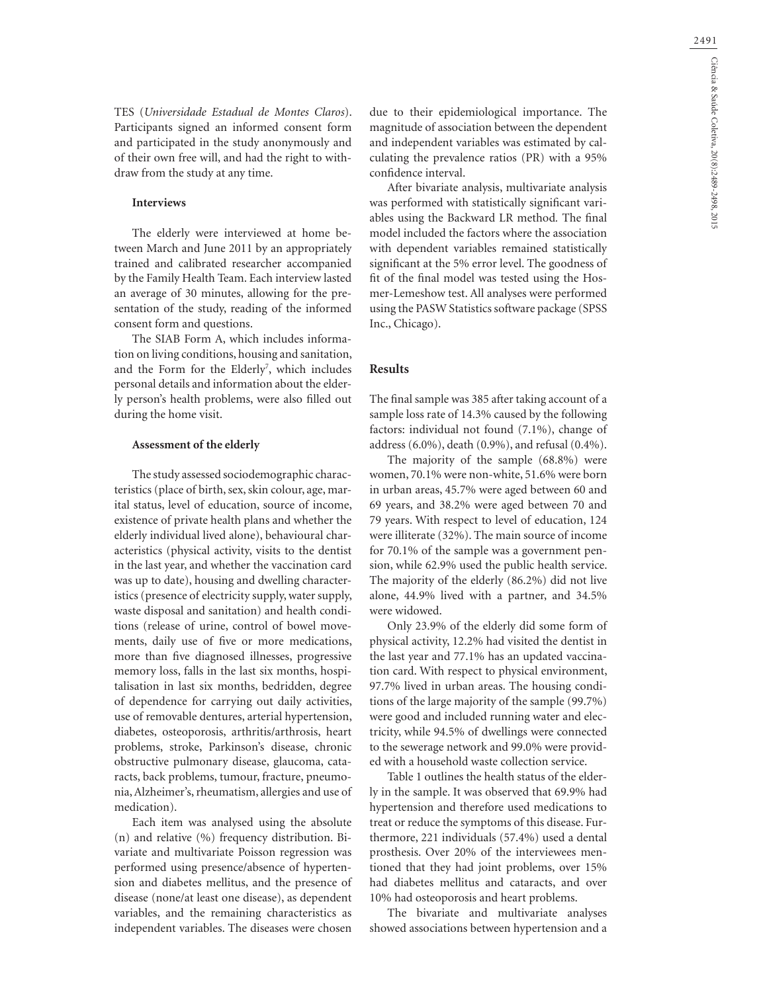TES (*Universidade Estadual de Montes Claros*). Participants signed an informed consent form and participated in the study anonymously and of their own free will, and had the right to withdraw from the study at any time.

## **Interviews**

The elderly were interviewed at home between March and June 2011 by an appropriately trained and calibrated researcher accompanied by the Family Health Team. Each interview lasted an average of 30 minutes, allowing for the presentation of the study, reading of the informed consent form and questions.

The SIAB Form A, which includes information on living conditions, housing and sanitation, and the Form for the Elderly<sup>7</sup>, which includes personal details and information about the elderly person's health problems, were also filled out during the home visit.

### **Assessment of the elderly**

The study assessed sociodemographic characteristics (place of birth, sex, skin colour, age, marital status, level of education, source of income, existence of private health plans and whether the elderly individual lived alone), behavioural characteristics (physical activity, visits to the dentist in the last year, and whether the vaccination card was up to date), housing and dwelling characteristics (presence of electricity supply, water supply, waste disposal and sanitation) and health conditions (release of urine, control of bowel movements, daily use of five or more medications, more than five diagnosed illnesses, progressive memory loss, falls in the last six months, hospitalisation in last six months, bedridden, degree of dependence for carrying out daily activities, use of removable dentures, arterial hypertension, diabetes, osteoporosis, arthritis/arthrosis, heart problems, stroke, Parkinson's disease, chronic obstructive pulmonary disease, glaucoma, cataracts, back problems, tumour, fracture, pneumonia, Alzheimer's, rheumatism, allergies and use of medication).

Each item was analysed using the absolute (n) and relative (%) frequency distribution. Bivariate and multivariate Poisson regression was performed using presence/absence of hypertension and diabetes mellitus, and the presence of disease (none/at least one disease), as dependent variables, and the remaining characteristics as independent variables. The diseases were chosen due to their epidemiological importance. The magnitude of association between the dependent and independent variables was estimated by calculating the prevalence ratios (PR) with a 95% confidence interval.

After bivariate analysis, multivariate analysis was performed with statistically significant variables using the Backward LR method*.* The final model included the factors where the association with dependent variables remained statistically significant at the 5% error level. The goodness of fit of the final model was tested using the Hosmer-Lemeshow test. All analyses were performed using the PASW Statistics software package (SPSS Inc., Chicago).

## **Results**

The final sample was 385 after taking account of a sample loss rate of 14.3% caused by the following factors: individual not found (7.1%), change of address (6.0%), death (0.9%), and refusal (0.4%).

The majority of the sample (68.8%) were women, 70.1% were non-white, 51.6% were born in urban areas, 45.7% were aged between 60 and 69 years, and 38.2% were aged between 70 and 79 years. With respect to level of education, 124 were illiterate (32%). The main source of income for 70.1% of the sample was a government pension, while 62.9% used the public health service. The majority of the elderly (86.2%) did not live alone, 44.9% lived with a partner, and 34.5% were widowed.

Only 23.9% of the elderly did some form of physical activity, 12.2% had visited the dentist in the last year and 77.1% has an updated vaccination card. With respect to physical environment, 97.7% lived in urban areas. The housing conditions of the large majority of the sample (99.7%) were good and included running water and electricity, while 94.5% of dwellings were connected to the sewerage network and 99.0% were provided with a household waste collection service.

Table 1 outlines the health status of the elderly in the sample. It was observed that 69.9% had hypertension and therefore used medications to treat or reduce the symptoms of this disease. Furthermore, 221 individuals (57.4%) used a dental prosthesis. Over 20% of the interviewees mentioned that they had joint problems, over 15% had diabetes mellitus and cataracts, and over 10% had osteoporosis and heart problems.

The bivariate and multivariate analyses showed associations between hypertension and a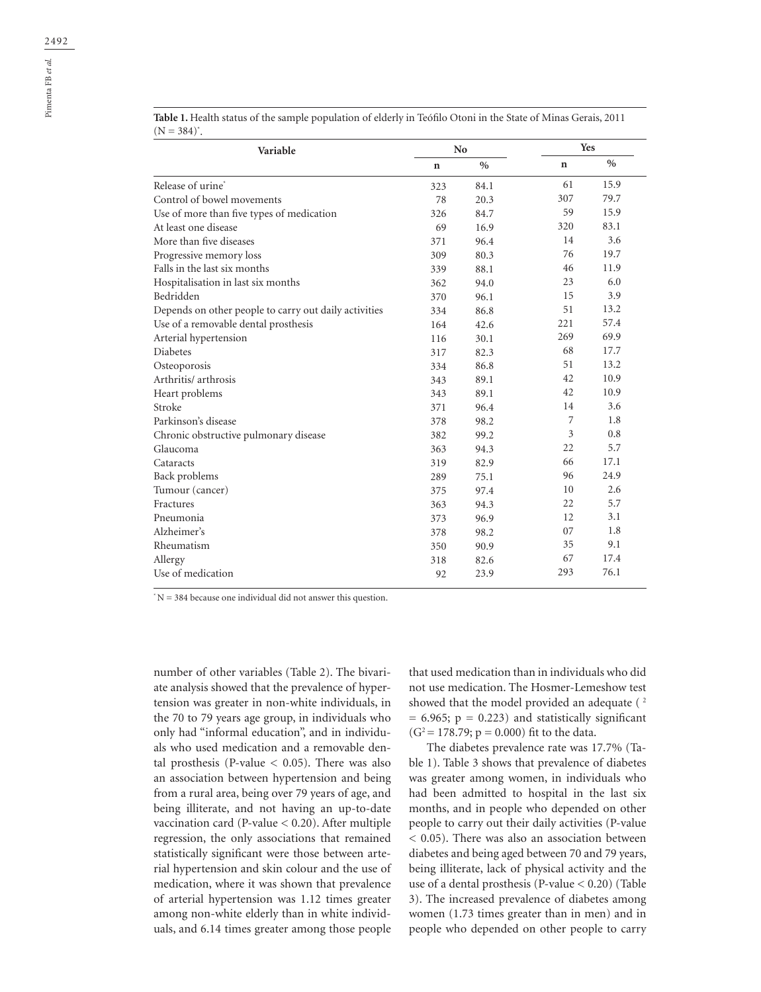| $(N = 384)^{x}$ .                                     |             |               |     |      |  |
|-------------------------------------------------------|-------------|---------------|-----|------|--|
| Variable                                              | No          |               | Yes |      |  |
|                                                       | $\mathbf n$ | $\frac{0}{0}$ | n   | $\%$ |  |
| Release of urine*                                     | 323         | 84.1          | 61  | 15.9 |  |
| Control of bowel movements                            | 78          | 20.3          | 307 | 79.7 |  |
| Use of more than five types of medication             | 326         | 84.7          | 59  | 15.9 |  |
| At least one disease                                  | 69          | 16.9          | 320 | 83.1 |  |
| More than five diseases                               | 371         | 96.4          | 14  | 3.6  |  |
| Progressive memory loss                               | 309         | 80.3          | 76  | 19.7 |  |
| Falls in the last six months                          | 339         | 88.1          | 46  | 11.9 |  |
| Hospitalisation in last six months                    | 362         | 94.0          | 23  | 6.0  |  |
| Bedridden                                             | 370         | 96.1          | 15  | 3.9  |  |
| Depends on other people to carry out daily activities | 334         | 86.8          | 51  | 13.2 |  |
| Use of a removable dental prosthesis                  | 164         | 42.6          | 221 | 57.4 |  |
| Arterial hypertension                                 | 116         | 30.1          | 269 | 69.9 |  |
| Diabetes                                              | 317         | 82.3          | 68  | 17.7 |  |
| Osteoporosis                                          | 334         | 86.8          | 51  | 13.2 |  |
| Arthritis/ arthrosis                                  | 343         | 89.1          | 42  | 10.9 |  |
| Heart problems                                        | 343         | 89.1          | 42  | 10.9 |  |
| Stroke                                                | 371         | 96.4          | 14  | 3.6  |  |
| Parkinson's disease                                   | 378         | 98.2          | 7   | 1.8  |  |
| Chronic obstructive pulmonary disease                 | 382         | 99.2          | 3   | 0.8  |  |
| Glaucoma                                              | 363         | 94.3          | 22  | 5.7  |  |
| Cataracts                                             | 319         | 82.9          | 66  | 17.1 |  |
| Back problems                                         | 289         | 75.1          | 96  | 24.9 |  |
| Tumour (cancer)                                       | 375         | 97.4          | 10  | 2.6  |  |
| Fractures                                             | 363         | 94.3          | 22  | 5.7  |  |
| Pneumonia                                             | 373         | 96.9          | 12  | 3.1  |  |
| Alzheimer's                                           | 378         | 98.2          | 07  | 1.8  |  |
| Rheumatism                                            | 350         | 90.9          | 35  | 9.1  |  |
| Allergy                                               | 318         | 82.6          | 67  | 17.4 |  |
| Use of medication                                     | 92          | 23.9          | 293 | 76.1 |  |

**Table 1.** Health status of the sample population of elderly in Teófilo Otoni in the State of Minas Gerais, 2011

 $N = 384$  because one individual did not answer this question.

number of other variables (Table 2). The bivariate analysis showed that the prevalence of hypertension was greater in non-white individuals, in the 70 to 79 years age group, in individuals who only had "informal education", and in individuals who used medication and a removable dental prosthesis (P-value  $\leq$  0.05). There was also an association between hypertension and being from a rural area, being over 79 years of age, and being illiterate, and not having an up-to-date vaccination card (P-value < 0.20). After multiple regression, the only associations that remained statistically significant were those between arterial hypertension and skin colour and the use of medication, where it was shown that prevalence of arterial hypertension was 1.12 times greater among non-white elderly than in white individuals, and 6.14 times greater among those people

that used medication than in individuals who did not use medication. The Hosmer-Lemeshow test showed that the model provided an adequate ( $2$  $= 6.965$ ;  $p = 0.223$ ) and statistically significant  $(G<sup>2</sup> = 178.79; p = 0.000)$  fit to the data.

The diabetes prevalence rate was 17.7% (Table 1). Table 3 shows that prevalence of diabetes was greater among women, in individuals who had been admitted to hospital in the last six months, and in people who depended on other people to carry out their daily activities (P-value < 0.05). There was also an association between diabetes and being aged between 70 and 79 years, being illiterate, lack of physical activity and the use of a dental prosthesis (P-value < 0.20) (Table 3). The increased prevalence of diabetes among women (1.73 times greater than in men) and in people who depended on other people to carry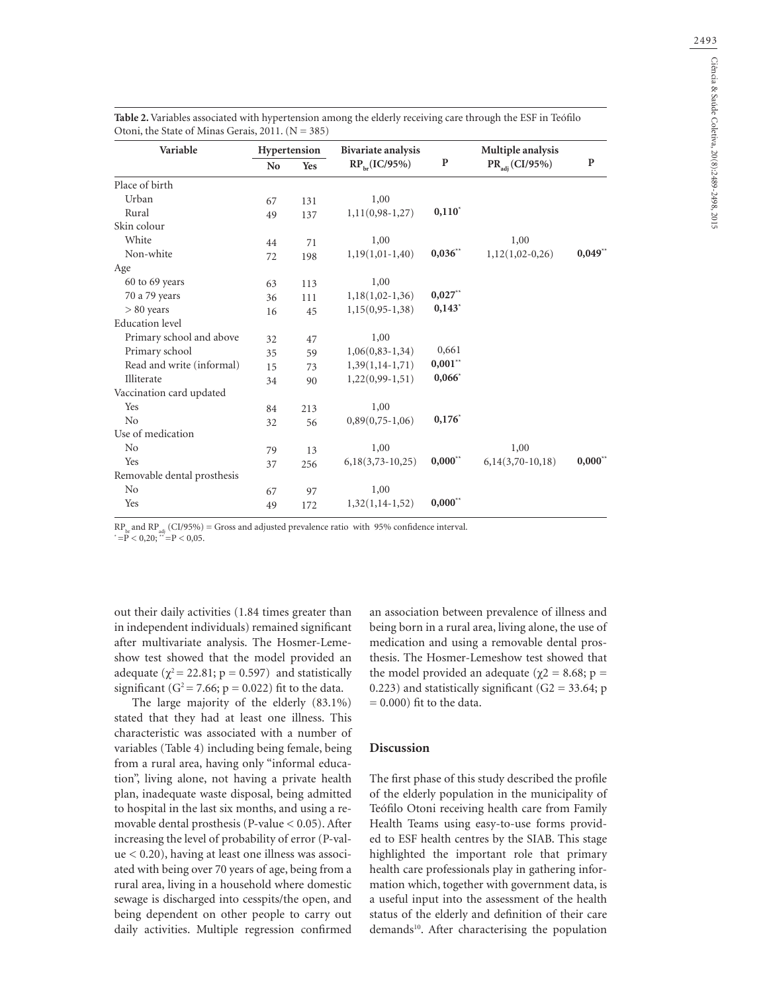| Variable                    | Hypertension   |            | <b>Bivariate analysis</b> |              | Multiple analysis          |             |
|-----------------------------|----------------|------------|---------------------------|--------------|----------------------------|-------------|
|                             | N <sub>0</sub> | <b>Yes</b> | $RP_{br}$ (IC/95%)        | $\, {\bf p}$ | $PR_{\text{adj}}(CI/95\%)$ | $\mathbf P$ |
| Place of birth              |                |            |                           |              |                            |             |
| Urban                       | 67             | 131        | 1,00                      |              |                            |             |
| Rural                       | 49             | 137        | $1,11(0,98-1,27)$         | $0,110^*$    |                            |             |
| Skin colour                 |                |            |                           |              |                            |             |
| White                       | 44             | 71         | 1,00                      |              | 1,00                       |             |
| Non-white                   | 72             | 198        | $1,19(1,01-1,40)$         | $0,036$ **   | $1,12(1,02-0,26)$          | $0,049**$   |
| Age                         |                |            |                           |              |                            |             |
| 60 to 69 years              | 63             | 113        | 1,00                      |              |                            |             |
| 70 a 79 years               | 36             | 111        | $1,18(1,02-1,36)$         | $0,027$ **   |                            |             |
| $> 80$ years                | 16             | 45         | $1,15(0,95-1,38)$         | $0,143$ *    |                            |             |
| <b>Education</b> level      |                |            |                           |              |                            |             |
| Primary school and above    | 32             | 47         | 1,00                      |              |                            |             |
| Primary school              | 35             | 59         | $1,06(0,83-1,34)$         | 0,661        |                            |             |
| Read and write (informal)   | 15             | 73         | $1,39(1,14-1,71)$         | $0,001$ **   |                            |             |
| Illiterate                  | 34             | 90         | $1,22(0,99-1,51)$         | $0,066^*$    |                            |             |
| Vaccination card updated    |                |            |                           |              |                            |             |
| Yes                         | 84             | 213        | 1,00                      |              |                            |             |
| N <sub>0</sub>              | 32             | 56         | $0,89(0,75-1,06)$         | $0,176^*$    |                            |             |
| Use of medication           |                |            |                           |              |                            |             |
| No                          | 79             | 13         | 1,00                      |              | 1,00                       |             |
| Yes                         | 37             | 256        | $6,18(3,73-10,25)$        | $0,000^{**}$ | $6,14(3,70-10,18)$         | $0,000**$   |
| Removable dental prosthesis |                |            |                           |              |                            |             |
| No                          | 67             | 97         | 1,00                      |              |                            |             |
| Yes                         | 49             | 172        | $1,32(1,14-1,52)$         | $0,000**$    |                            |             |

**Table 2.** Variables associated with hypertension among the elderly receiving care through the ESF in Teófilo Otoni, the State of Minas Gerais,  $2011$ . (N = 385)

RP<sub>br</sub> and RP<sub>adj</sub> (CI/95%) = Gross and adjusted prevalence ratio with 95% confidence interval.  $P = P < 0.20$ ;  $P = P < 0.05$ .

out their daily activities (1.84 times greater than in independent individuals) remained significant after multivariate analysis. The Hosmer-Lemeshow test showed that the model provided an adequate ( $\chi^2$  = 22.81; p = 0.597) and statistically significant ( $G^2 = 7.66$ ;  $p = 0.022$ ) fit to the data.

The large majority of the elderly (83.1%) stated that they had at least one illness. This characteristic was associated with a number of variables (Table 4) including being female, being from a rural area, having only "informal education", living alone, not having a private health plan, inadequate waste disposal, being admitted to hospital in the last six months, and using a removable dental prosthesis (P-value < 0.05). After increasing the level of probability of error (P-value < 0.20), having at least one illness was associated with being over 70 years of age, being from a rural area, living in a household where domestic sewage is discharged into cesspits/the open, and being dependent on other people to carry out daily activities. Multiple regression confirmed an association between prevalence of illness and being born in a rural area, living alone, the use of medication and using a removable dental prosthesis. The Hosmer-Lemeshow test showed that the model provided an adequate ( $χ$ 2 = 8.68; p = 0.223) and statistically significant ( $G2 = 33.64$ ; p  $= 0.000$ ) fit to the data.

#### **Discussion**

The first phase of this study described the profile of the elderly population in the municipality of Teófilo Otoni receiving health care from Family Health Teams using easy-to-use forms provided to ESF health centres by the SIAB. This stage highlighted the important role that primary health care professionals play in gathering information which, together with government data, is a useful input into the assessment of the health status of the elderly and definition of their care demands<sup>10</sup>. After characterising the population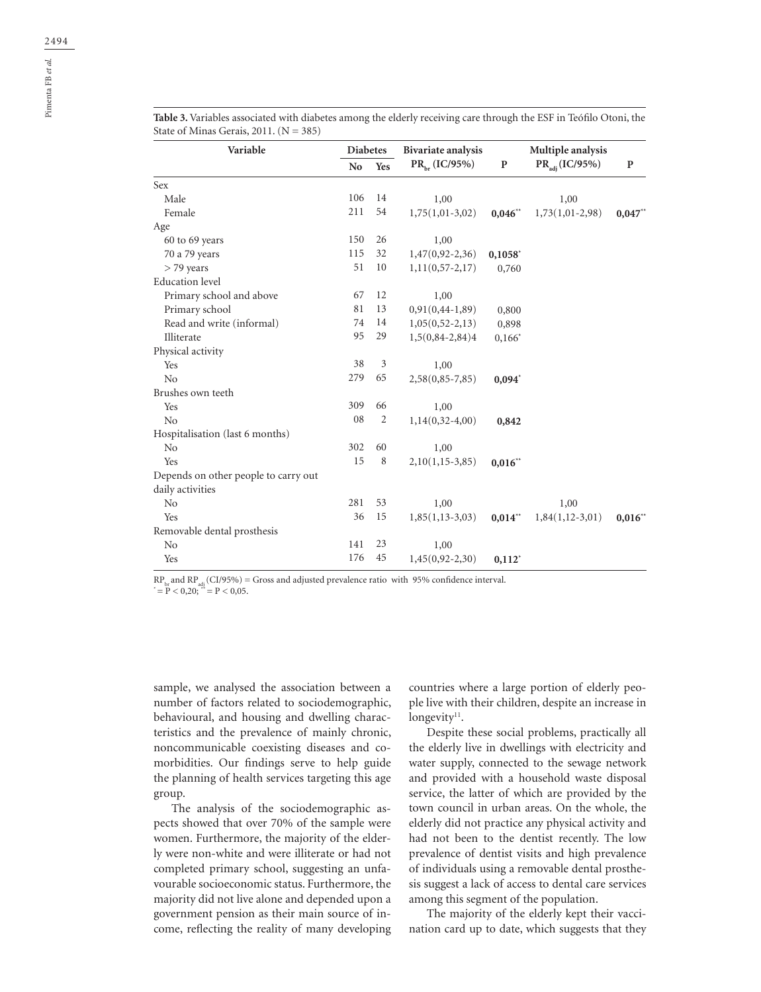Pimenta FB *et al.*

| <b>Diabetes</b> |            | <b>Bivariate analysis</b> |              | Multiple analysis          |              |
|-----------------|------------|---------------------------|--------------|----------------------------|--------------|
| <b>No</b>       | <b>Yes</b> | $PR_{br} (IC/95%)$        | $\mathbf{P}$ | $PR_{\text{adi}}(IC/95\%)$ | $\, {\bf p}$ |
|                 |            |                           |              |                            |              |
| 106             | 14         | 1,00                      |              | 1,00                       |              |
| 211             | 54         | $1,75(1,01-3,02)$         | $0,046**$    | $1,73(1,01-2,98)$          | $0,047**$    |
|                 |            |                           |              |                            |              |
| 150             | 26         | 1,00                      |              |                            |              |
| 115             | 32         | $1,47(0,92-2,36)$         | $0,1058^*$   |                            |              |
| 51              | 10         | $1,11(0,57-2,17)$         | 0,760        |                            |              |
|                 |            |                           |              |                            |              |
| 67              | 12         | 1,00                      |              |                            |              |
| 81              | 13         | $0,91(0,44-1,89)$         | 0,800        |                            |              |
| 74              | 14         | $1,05(0,52-2,13)$         | 0,898        |                            |              |
| 95              | 29         | $1,5(0,84-2,84)4$         | $0,166^*$    |                            |              |
|                 |            |                           |              |                            |              |
| 38              | 3          | 1,00                      |              |                            |              |
| 279             | 65         | $2,58(0,85-7,85)$         | $0,094$ *    |                            |              |
|                 |            |                           |              |                            |              |
| 309             | 66         | 1,00                      |              |                            |              |
| 08              | 2          | $1,14(0,32-4,00)$         | 0,842        |                            |              |
|                 |            |                           |              |                            |              |
| 302             | 60         | 1,00                      |              |                            |              |
| 15              | 8          | $2,10(1,15-3,85)$         | $0,016$ **   |                            |              |
|                 |            |                           |              |                            |              |
|                 |            |                           |              |                            |              |
| 281             | 53         | 1,00                      |              | 1,00                       |              |
| 36              | 15         | $1,85(1,13-3,03)$         | $0,014**$    | $1,84(1,12-3,01)$          | $0,016**$    |
|                 |            |                           |              |                            |              |
| 141             | 23         | 1,00                      |              |                            |              |
| 176             | 45         | $1,45(0,92-2,30)$         | $0,112^*$    |                            |              |
|                 |            |                           |              |                            |              |

**Table 3.** Variables associated with diabetes among the elderly receiving care through the ESF in Teófilo Otoni, the State of Minas Gerais, 2011. (N = 385)

RP<sub>br</sub> and RP<sub>adj</sub> (CI/95%) = Gross and adjusted prevalence ratio with 95% confidence interval.<br>\* = P < 0,20; \* = P < 0,05.

sample, we analysed the association between a number of factors related to sociodemographic, behavioural, and housing and dwelling characteristics and the prevalence of mainly chronic, noncommunicable coexisting diseases and comorbidities. Our findings serve to help guide the planning of health services targeting this age group.

The analysis of the sociodemographic aspects showed that over 70% of the sample were women. Furthermore, the majority of the elderly were non-white and were illiterate or had not completed primary school, suggesting an unfavourable socioeconomic status. Furthermore, the majority did not live alone and depended upon a government pension as their main source of income, reflecting the reality of many developing

countries where a large portion of elderly people live with their children, despite an increase in  $longevity<sup>11</sup>$ .

Despite these social problems, practically all the elderly live in dwellings with electricity and water supply, connected to the sewage network and provided with a household waste disposal service, the latter of which are provided by the town council in urban areas. On the whole, the elderly did not practice any physical activity and had not been to the dentist recently. The low prevalence of dentist visits and high prevalence of individuals using a removable dental prosthesis suggest a lack of access to dental care services among this segment of the population.

The majority of the elderly kept their vaccination card up to date, which suggests that they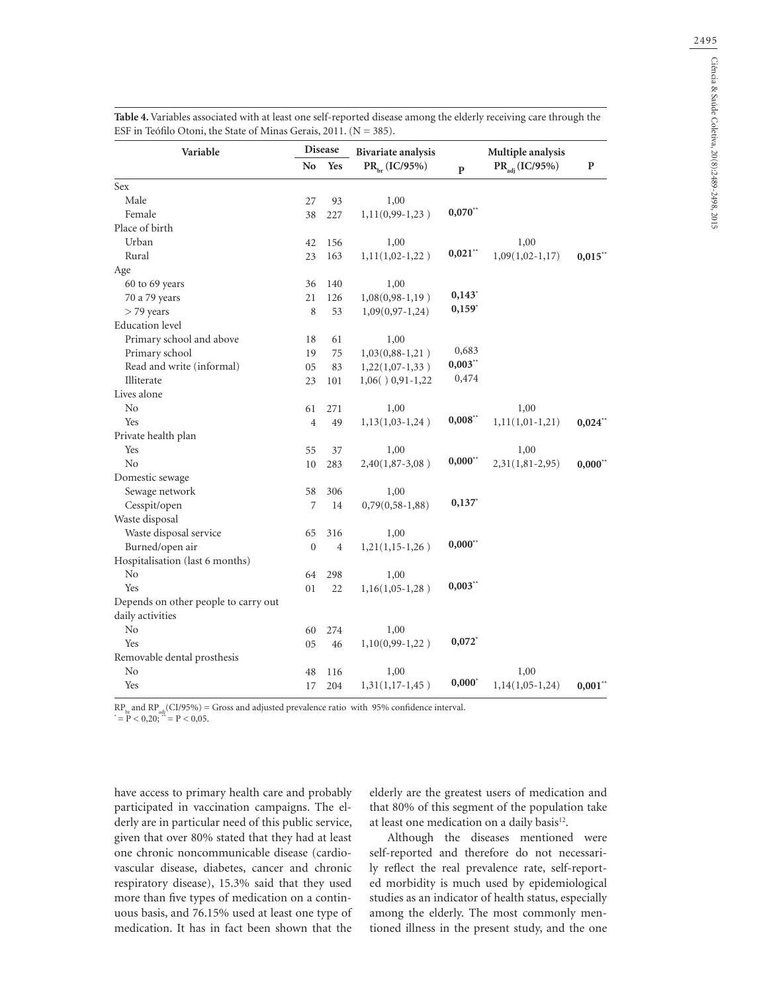| Variable                             |                | <b>Disease</b> | <b>Bivariate analysis</b> |              | Multiple analysis   | $\mathbf{P}$ |
|--------------------------------------|----------------|----------------|---------------------------|--------------|---------------------|--------------|
|                                      |                | <b>Yes</b>     | $PR_{br} (IC/95%)$        | $\mathbf{P}$ | $PR_{adi}(IC/95\%)$ |              |
| Sex                                  |                |                |                           |              |                     |              |
| Male                                 | 27             | 93             | 1,00                      |              |                     |              |
| Female                               | 38             | 227            | $1,11(0,99-1,23)$         | $0,070**$    |                     |              |
| Place of birth                       |                |                |                           |              |                     |              |
| Urban                                | 42             | 156            | 1,00                      |              | 1,00                |              |
| Rural                                | 23             | 163            | $1,11(1,02-1,22)$         | $0,021$ **   | $1,09(1,02-1,17)$   | $0,015$ **   |
| Age                                  |                |                |                           |              |                     |              |
| 60 to 69 years                       | 36             | 140            | 1,00                      |              |                     |              |
| 70 a 79 years                        | 21             | 126            | $1,08(0,98-1,19)$         | $0,143^*$    |                     |              |
| > 79 years                           | 8              | 53             | $1,09(0,97-1,24)$         | $0,159^*$    |                     |              |
| <b>Education</b> level               |                |                |                           |              |                     |              |
| Primary school and above             | 18             | 61             | 1,00                      |              |                     |              |
| Primary school                       | 19             | 75             | $1,03(0,88-1,21)$         | 0,683        |                     |              |
| Read and write (informal)            | 05             | 83             | $1,22(1,07-1,33)$         | $0,003**$    |                     |              |
| Illiterate                           | 23             | 101            | $1,06()$ 0,91-1,22        | 0,474        |                     |              |
| Lives alone                          |                |                |                           |              |                     |              |
| N <sub>0</sub>                       | 61             | 271            | 1,00                      |              | 1,00                |              |
| Yes                                  | $\overline{4}$ | 49             | $1,13(1,03-1,24)$         | $0,008**$    | $1,11(1,01-1,21)$   | $0,024$ **   |
| Private health plan                  |                |                |                           |              |                     |              |
| Yes                                  | 55             | 37             | 1,00                      |              | 1,00                |              |
| No                                   | 10             | 283            | $2,40(1,87-3,08)$         | $0,000**$    | $2,31(1,81-2,95)$   | $0,000**$    |
| Domestic sewage                      |                |                |                           |              |                     |              |
| Sewage network                       | 58             | 306            | 1,00                      |              |                     |              |
| Cesspit/open                         | 7              | 14             | $0,79(0,58-1,88)$         | $0,137$ *    |                     |              |
| Waste disposal                       |                |                |                           |              |                     |              |
| Waste disposal service               | 65             | 316            | 1,00                      |              |                     |              |
| Burned/open air                      | $\overline{0}$ | $\overline{4}$ | $1,21(1,15-1,26)$         | $0,000**$    |                     |              |
| Hospitalisation (last 6 months)      |                |                |                           |              |                     |              |
| N <sub>o</sub>                       | 64             | 298            | 1,00                      |              |                     |              |
| Yes                                  | 01             | 22             | $1,16(1,05-1,28)$         | $0,003**$    |                     |              |
| Depends on other people to carry out |                |                |                           |              |                     |              |
| daily activities                     |                |                |                           |              |                     |              |
| N <sub>o</sub>                       | 60             | 274            | 1,00                      |              |                     |              |
| Yes                                  | 05             | 46             | $1,10(0,99-1,22)$         | $0,072^*$    |                     |              |
| Removable dental prosthesis          |                |                |                           |              |                     |              |
| No                                   | 48             | 116            | 1,00                      |              | 1,00                |              |
| Yes                                  | 17             | 204            | $1,31(1,17-1,45)$         | $0,000^*$    | $1,14(1,05-1,24)$   | $0,001**$    |

**Table 4.** Variables associated with at least one self-reported disease among the elderly receiving care through the ESF in Teófilo Otoni, the State of Minas Gerais, 2011. (N = 385).

RP<sub>br</sub> and RP<sub>adj</sub>(CI/95%) = Gross and adjusted prevalence ratio with 95% confidence interval.  ${}^{\star}$  = P < 0,20;  ${}^{\star\star}$  = P < 0,05.

have access to primary health care and probably participated in vaccination campaigns. The elderly are in particular need of this public service, given that over 80% stated that they had at least one chronic noncommunicable disease (cardiovascular disease, diabetes, cancer and chronic respiratory disease), 15.3% said that they used more than five types of medication on a continuous basis, and 76.15% used at least one type of medication. It has in fact been shown that the

elderly are the greatest users of medication and that 80% of this segment of the population take at least one medication on a daily basis<sup>12</sup>.

Although the diseases mentioned were self-reported and therefore do not necessarily reflect the real prevalence rate, self-reported morbidity is much used by epidemiological studies as an indicator of health status, especially among the elderly. The most commonly mentioned illness in the present study, and the one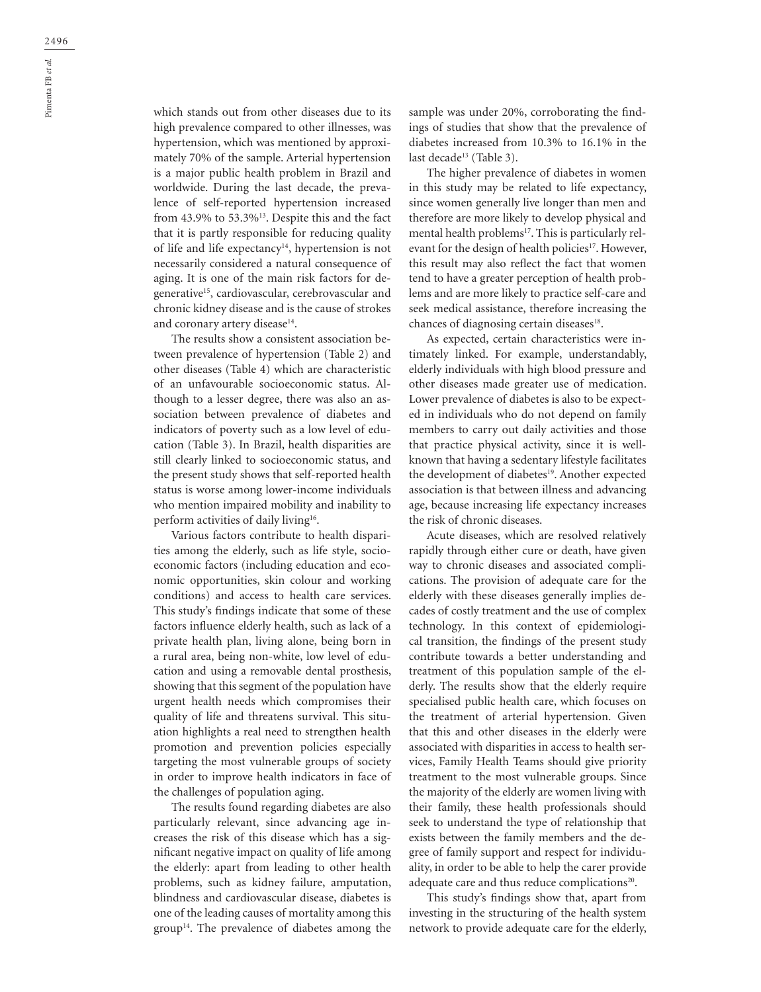which stands out from other diseases due to its high prevalence compared to other illnesses, was hypertension, which was mentioned by approximately 70% of the sample. Arterial hypertension is a major public health problem in Brazil and worldwide. During the last decade, the prevalence of self-reported hypertension increased from 43.9% to 53.3%<sup>13</sup>. Despite this and the fact that it is partly responsible for reducing quality of life and life expectancy<sup>14</sup>, hypertension is not necessarily considered a natural consequence of aging. It is one of the main risk factors for degenerative15, cardiovascular, cerebrovascular and chronic kidney disease and is the cause of strokes and coronary artery disease<sup>14</sup>.

The results show a consistent association between prevalence of hypertension (Table 2) and other diseases (Table 4) which are characteristic of an unfavourable socioeconomic status. Although to a lesser degree, there was also an association between prevalence of diabetes and indicators of poverty such as a low level of education (Table 3). In Brazil, health disparities are still clearly linked to socioeconomic status, and the present study shows that self-reported health status is worse among lower-income individuals who mention impaired mobility and inability to perform activities of daily living<sup>16</sup>.

Various factors contribute to health disparities among the elderly, such as life style, socioeconomic factors (including education and economic opportunities, skin colour and working conditions) and access to health care services. This study's findings indicate that some of these factors influence elderly health, such as lack of a private health plan, living alone, being born in a rural area, being non-white, low level of education and using a removable dental prosthesis, showing that this segment of the population have urgent health needs which compromises their quality of life and threatens survival. This situation highlights a real need to strengthen health promotion and prevention policies especially targeting the most vulnerable groups of society in order to improve health indicators in face of the challenges of population aging.

The results found regarding diabetes are also particularly relevant, since advancing age increases the risk of this disease which has a significant negative impact on quality of life among the elderly: apart from leading to other health problems, such as kidney failure, amputation, blindness and cardiovascular disease, diabetes is one of the leading causes of mortality among this  $group<sup>14</sup>$ . The prevalence of diabetes among the

sample was under 20%, corroborating the findings of studies that show that the prevalence of diabetes increased from 10.3% to 16.1% in the last decade<sup>13</sup> (Table 3).

The higher prevalence of diabetes in women in this study may be related to life expectancy, since women generally live longer than men and therefore are more likely to develop physical and mental health problems<sup>17</sup>. This is particularly relevant for the design of health policies<sup>17</sup>. However, this result may also reflect the fact that women tend to have a greater perception of health problems and are more likely to practice self-care and seek medical assistance, therefore increasing the chances of diagnosing certain diseases<sup>18</sup>.

As expected, certain characteristics were intimately linked. For example, understandably, elderly individuals with high blood pressure and other diseases made greater use of medication. Lower prevalence of diabetes is also to be expected in individuals who do not depend on family members to carry out daily activities and those that practice physical activity, since it is wellknown that having a sedentary lifestyle facilitates the development of diabetes<sup>19</sup>. Another expected association is that between illness and advancing age, because increasing life expectancy increases the risk of chronic diseases.

Acute diseases, which are resolved relatively rapidly through either cure or death, have given way to chronic diseases and associated complications. The provision of adequate care for the elderly with these diseases generally implies decades of costly treatment and the use of complex technology. In this context of epidemiological transition, the findings of the present study contribute towards a better understanding and treatment of this population sample of the elderly. The results show that the elderly require specialised public health care, which focuses on the treatment of arterial hypertension. Given that this and other diseases in the elderly were associated with disparities in access to health services, Family Health Teams should give priority treatment to the most vulnerable groups. Since the majority of the elderly are women living with their family, these health professionals should seek to understand the type of relationship that exists between the family members and the degree of family support and respect for individuality, in order to be able to help the carer provide adequate care and thus reduce complications<sup>20</sup>.

This study's findings show that, apart from investing in the structuring of the health system network to provide adequate care for the elderly,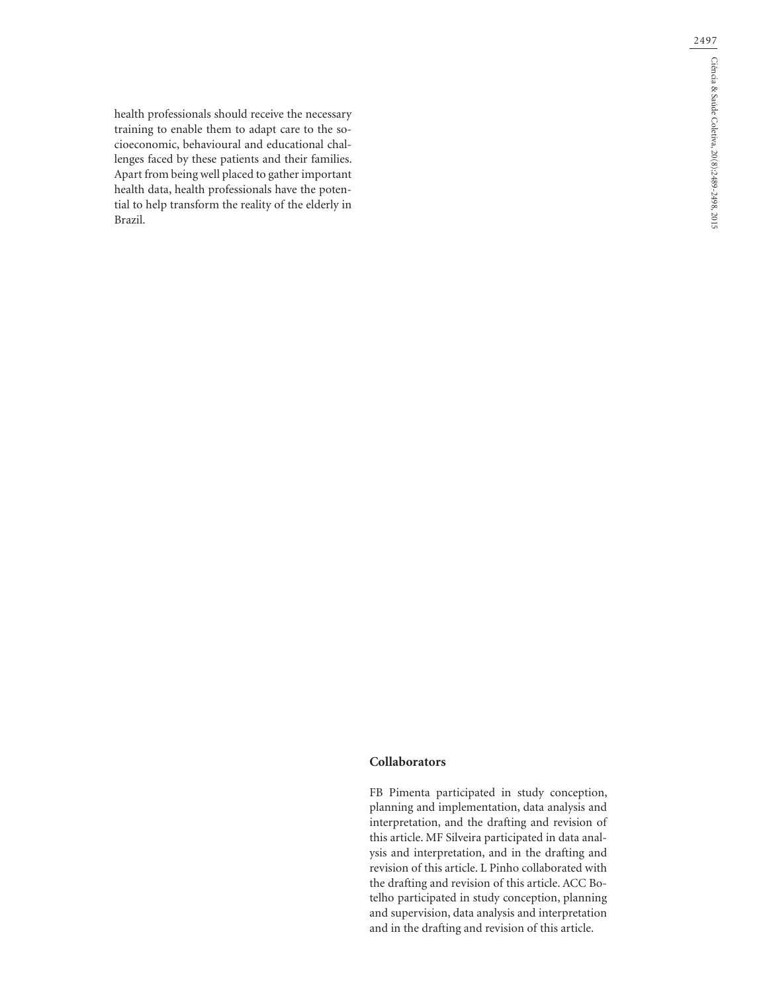Ciência & Saúde Coletiva, 20(8):2489-2498, 2015

Ciência & Saúde Coletiva, 20(8):2489-2498, 2015

health professionals should receive the necessary training to enable them to adapt care to the socioeconomic, behavioural and educational challenges faced by these patients and their families. Apart from being well placed to gather important health data, health professionals have the potential to help transform the reality of the elderly in Brazil.

## **Collaborators**

FB Pimenta participated in study conception, planning and implementation, data analysis and interpretation, and the drafting and revision of this article. MF Silveira participated in data analysis and interpretation, and in the drafting and revision of this article. L Pinho collaborated with the drafting and revision of this article. ACC Botelho participated in study conception, planning and supervision, data analysis and interpretation and in the drafting and revision of this article.